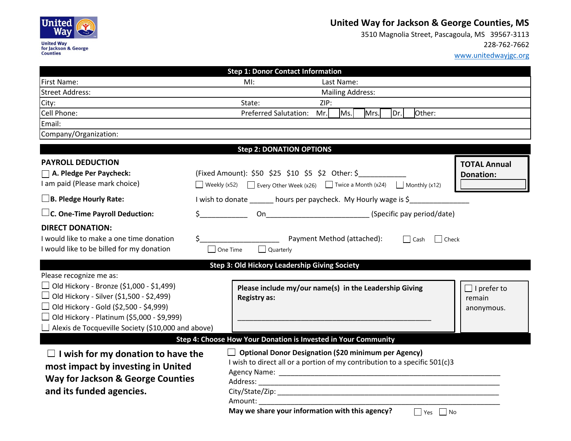

## **United Way for Jackson & George Counties, MS**

 3510 Magnolia Street, Pascagoula, MS 39567-3113228-762-7662

www.unitedwayjgc.org

| <b>Step 1: Donor Contact Information</b>                                                                                                                                                                                                                                                         |                                                                                                                                                                                                                                       |  |
|--------------------------------------------------------------------------------------------------------------------------------------------------------------------------------------------------------------------------------------------------------------------------------------------------|---------------------------------------------------------------------------------------------------------------------------------------------------------------------------------------------------------------------------------------|--|
| <b>First Name:</b>                                                                                                                                                                                                                                                                               | Last Name:<br>MI:                                                                                                                                                                                                                     |  |
| <b>Street Address:</b>                                                                                                                                                                                                                                                                           | <b>Mailing Address:</b>                                                                                                                                                                                                               |  |
| City:                                                                                                                                                                                                                                                                                            | State:<br>ZIP:                                                                                                                                                                                                                        |  |
| Cell Phone:                                                                                                                                                                                                                                                                                      | <b>Preferred Salutation:</b><br>Ms.<br>Mr.<br>Mrs.<br> Dr. <br>Other:                                                                                                                                                                 |  |
| Email:                                                                                                                                                                                                                                                                                           |                                                                                                                                                                                                                                       |  |
| Company/Organization:                                                                                                                                                                                                                                                                            |                                                                                                                                                                                                                                       |  |
|                                                                                                                                                                                                                                                                                                  | <b>Step 2: DONATION OPTIONS</b>                                                                                                                                                                                                       |  |
| <b>PAYROLL DEDUCTION</b>                                                                                                                                                                                                                                                                         | <b>TOTAL Annual</b>                                                                                                                                                                                                                   |  |
| A. Pledge Per Paycheck:                                                                                                                                                                                                                                                                          | (Fixed Amount): \$50 \$25 \$10 \$5 \$2 Other: \$<br><b>Donation:</b>                                                                                                                                                                  |  |
| I am paid (Please mark choice)                                                                                                                                                                                                                                                                   | Weekly (x52) $\Box$ Every Other Week (x26) $\Box$ Twice a Month (x24) $\Box$ Monthly (x12)                                                                                                                                            |  |
| $\Box$ B. Pledge Hourly Rate:                                                                                                                                                                                                                                                                    | I wish to donate ______ hours per paycheck. My Hourly wage is \$                                                                                                                                                                      |  |
| $\Box$ C. One-Time Payroll Deduction:                                                                                                                                                                                                                                                            | On (Specific pay period/date)<br>\$                                                                                                                                                                                                   |  |
| <b>DIRECT DONATION:</b><br>I would like to make a one time donation<br>I would like to be billed for my donation                                                                                                                                                                                 | \$.<br>Payment Method (attached):<br>Cash Check<br>One Time<br>Quarterly                                                                                                                                                              |  |
| <b>Step 3: Old Hickory Leadership Giving Society</b>                                                                                                                                                                                                                                             |                                                                                                                                                                                                                                       |  |
| Please recognize me as:<br>$\Box$ Old Hickory - Bronze (\$1,000 - \$1,499)<br>$\Box$ Old Hickory - Silver (\$1,500 - \$2,499)<br>$\Box$ Old Hickory - Gold (\$2,500 - \$4,999)<br>$\Box$ Old Hickory - Platinum (\$5,000 - \$9,999)<br>$\Box$ Alexis de Tocqueville Society (\$10,000 and above) | Please include my/our name(s) in the Leadership Giving<br>$\Box$ I prefer to<br><b>Registry as:</b><br>remain<br>anonymous.<br>Step 4: Choose How Your Donation is Invested in Your Community                                         |  |
|                                                                                                                                                                                                                                                                                                  |                                                                                                                                                                                                                                       |  |
| $\Box$ I wish for my donation to have the<br>most impact by investing in United<br><b>Way for Jackson &amp; George Counties</b><br>and its funded agencies.                                                                                                                                      | $\Box$ Optional Donor Designation (\$20 minimum per Agency)<br>I wish to direct all or a portion of my contribution to a specific 501(c)3<br>Amount: Amount:<br>May we share your information with this agency?<br>$\Box$ Yes<br>  No |  |